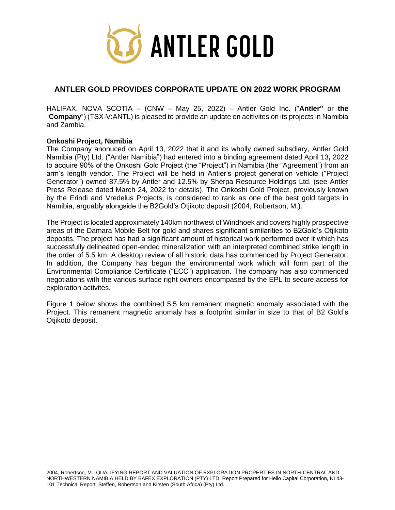

# **ANTLER GOLD PROVIDES CORPORATE UPDATE ON 2022 WORK PROGRAM**

HALIFAX, NOVA SCOTIA – (CNW – May 25, 2022) – Antler Gold Inc. ("**Antler"** or **the**  "**Company**") (TSX-V:ANTL) is pleased to provide an update on acitivites on its projects in Namibia and Zambia.

## **Onkoshi Project, Namibia**

The Company anonuced on April 13, 2022 that it and its wholly owned subsdiary, Antler Gold Namibia (Pty) Ltd. ("Antler Namibia") had entered into a binding agreement dated April 13**,** 2022 to acquire 90% of the Onkoshi Gold Project (the "Project") in Namibia (the "Agreement") from an arm's length vendor. The Project will be held in Antler's project generation vehicle ("Project Generator") owned 87.5% by Antler and 12.5% by Sherpa Resource Holdings Ltd. (see Antler Press Release dated March 24, 2022 for details). The Onkoshi Gold Project, previously known by the Erindi and Vredelus Projects, is considered to rank as one of the best gold targets in Namibia, arguably alongside the B2Gold's Otjikoto deposit (2004, Robertson, M.).

The Project is located approximately 140km northwest of Windhoek and covers highly prospective areas of the Damara Mobile Belt for gold and shares significant similarities to B2Gold's Otjikoto deposits. The project has had a significant amount of historical work performed over it which has successfully delineated open-ended mineralization with an interpreted combined strike length in the order of 5.5 km. A desktop review of all historic data has commenced by Project Generator. In addition, the Company has begun the environmental work which will form part of the Environmental Compliance Certificate ("ECC") application. The company has also commenced negotiations with the various surface right owners encompased by the EPL to secure access for exploration activites.

Figure 1 below shows the combined 5.5 km remanent magnetic anomaly associated with the Project. This remanent magnetic anomaly has a footprint similar in size to that of B2 Gold's Otjikoto deposit.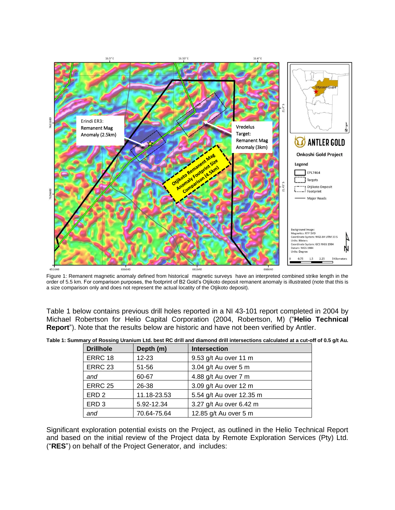

Figure 1: Remanent magnetic anomaly defined from historical magnetic surveys have an interpreted combined strike length in the order of 5.5 km. For comparison purposes, the footprint of B2 Gold's Otjikoto deposit remanent anomaly is illustrated (note that this is a size comparison only and does not represent the actual locatity of the Otjikoto deposit).

Table 1 below contains previous drill holes reported in a NI 43-101 report completed in 2004 by Michael Robertson for Helio Capital Corporation (2004, Robertson, M) ("**Helio Technical Report**"). Note that the results below are historic and have not been verified by Antler.

| <b>Drillhole</b> | Depth (m)   | <b>Intersection</b>      |
|------------------|-------------|--------------------------|
| ERRC 18          | $12 - 23$   | 9.53 g/t Au over 11 m    |
| <b>ERRC 23</b>   | 51-56       | 3.04 g/t Au over 5 m     |
| and              | 60-67       | 4.88 g/t Au over 7 m     |
| <b>ERRC 25</b>   | 26-38       | 3.09 g/t Au over 12 m    |
| ERD <sub>2</sub> | 11.18-23.53 | 5.54 g/t Au over 12.35 m |
| ERD <sub>3</sub> | 5.92-12.34  | 3.27 g/t Au over 6.42 m  |
| and              | 70.64-75.64 | 12.85 g/t Au over 5 m    |

Significant exploration potential exists on the Project, as outlined in the Helio Technical Report and based on the initial review of the Project data by Remote Exploration Services (Pty) Ltd. ("**RES**") on behalf of the Project Generator, and includes: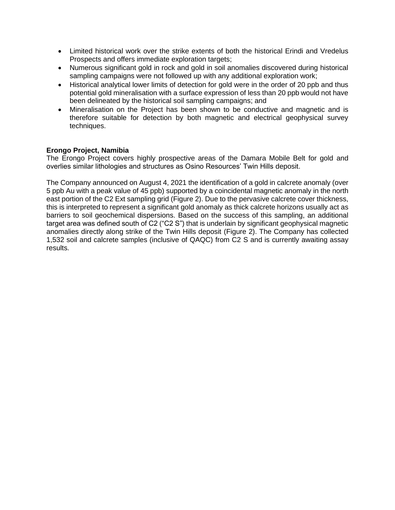- Limited historical work over the strike extents of both the historical Erindi and Vredelus Prospects and offers immediate exploration targets;
- Numerous significant gold in rock and gold in soil anomalies discovered during historical sampling campaigns were not followed up with any additional exploration work;
- Historical analytical lower limits of detection for gold were in the order of 20 ppb and thus potential gold mineralisation with a surface expression of less than 20 ppb would not have been delineated by the historical soil sampling campaigns; and
- Mineralisation on the Project has been shown to be conductive and magnetic and is therefore suitable for detection by both magnetic and electrical geophysical survey techniques.

# **Erongo Project, Namibia**

The Erongo Project covers highly prospective areas of the Damara Mobile Belt for gold and overlies similar lithologies and structures as Osino Resources' Twin Hills deposit.

The Company announced on August 4, 2021 the identification of a gold in calcrete anomaly (over 5 ppb Au with a peak value of 45 ppb) supported by a coincidental magnetic anomaly in the north east portion of the C2 Ext sampling grid (Figure 2). Due to the pervasive calcrete cover thickness, this is interpreted to represent a significant gold anomaly as thick calcrete horizons usually act as barriers to soil geochemical dispersions. Based on the success of this sampling, an additional target area was defined south of C2 ("C2 S") that is underlain by significant geophysical magnetic anomalies directly along strike of the Twin Hills deposit (Figure 2). The Company has collected 1,532 soil and calcrete samples (inclusive of QAQC) from C2 S and is currently awaiting assay results.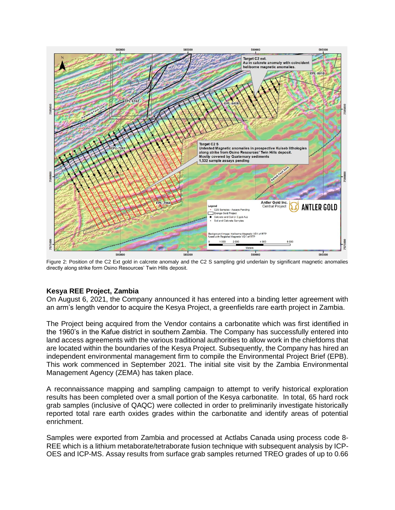

Figure 2: Position of the C2 Ext gold in calcrete anomaly and the C2 S sampling grid underlain by significant magnetic anomalies directly along strike form Osino Resources' Twin Hills deposit.

# **Kesya REE Project, Zambia**

On August 6, 2021, the Company announced it has entered into a binding letter agreement with an arm's length vendor to acquire the Kesya Project, a greenfields rare earth project in Zambia.

The Project being acquired from the Vendor contains a carbonatite which was first identified in the 1960's in the Kafue district in southern Zambia. The Company has successfully entered into land access agreements with the various traditional authorities to allow work in the chiefdoms that are located within the boundaries of the Kesya Project. Subsequently, the Company has hired an independent environmental management firm to compile the Environmental Project Brief (EPB). This work commenced in September 2021. The initial site visit by the Zambia Environmental Management Agency (ZEMA) has taken place.

A reconnaissance mapping and sampling campaign to attempt to verify historical exploration results has been completed over a small portion of the Kesya carbonatite. In total, 65 hard rock grab samples (inclusive of QAQC) were collected in order to preliminarily investigate historically reported total rare earth oxides grades within the carbonatite and identify areas of potential enrichment.

Samples were exported from Zambia and processed at Actlabs Canada using process code 8- REE which is a lithium metaborate/tetraborate fusion technique with subsequent analysis by ICP-OES and ICP-MS. Assay results from surface grab samples returned TREO grades of up to 0.66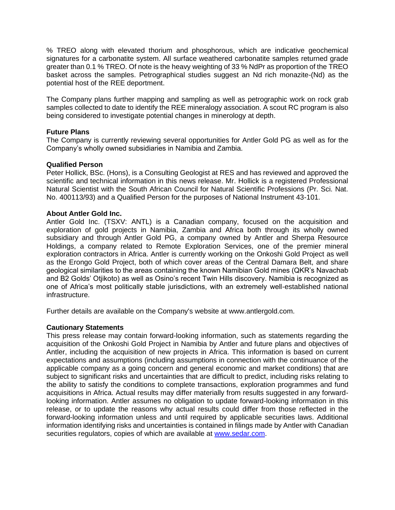% TREO along with elevated thorium and phosphorous, which are indicative geochemical signatures for a carbonatite system. All surface weathered carbonatite samples returned grade greater than 0.1 % TREO. Of note is the heavy weighting of 33 % NdPr as proportion of the TREO basket across the samples. Petrographical studies suggest an Nd rich monazite-(Nd) as the potential host of the REE deportment.

The Company plans further mapping and sampling as well as petrographic work on rock grab samples collected to date to identify the REE mineralogy association. A scout RC program is also being considered to investigate potential changes in minerology at depth.

## **Future Plans**

The Company is currently reviewing several opportunities for Antler Gold PG as well as for the Company's wholly owned subsidiaries in Namibia and Zambia.

### **Qualified Person**

Peter Hollick, BSc. (Hons), is a Consulting Geologist at RES and has reviewed and approved the scientific and technical information in this news release. Mr. Hollick is a registered Professional Natural Scientist with the South African Council for Natural Scientific Professions (Pr. Sci. Nat. No. 400113/93) and a Qualified Person for the purposes of National Instrument 43-101.

### **About Antler Gold Inc.**

Antler Gold Inc. (TSXV: ANTL) is a Canadian company, focused on the acquisition and exploration of gold projects in Namibia, Zambia and Africa both through its wholly owned subsidiary and through Antler Gold PG, a company owned by Antler and Sherpa Resource Holdings, a company related to Remote Exploration Services, one of the premier mineral exploration contractors in Africa. Antler is currently working on the Onkoshi Gold Project as well as the Erongo Gold Project, both of which cover areas of the Central Damara Belt, and share geological similarities to the areas containing the known Namibian Gold mines (QKR's Navachab and B2 Golds' Otjikoto) as well as Osino's recent Twin Hills discovery. Namibia is recognized as one of Africa's most politically stable jurisdictions, with an extremely well-established national infrastructure.

Further details are available on the Company's website at www.antlergold.com.

### **Cautionary Statements**

This press release may contain forward-looking information, such as statements regarding the acquisition of the Onkoshi Gold Project in Namibia by Antler and future plans and objectives of Antler, including the acquisition of new projects in Africa. This information is based on current expectations and assumptions (including assumptions in connection with the continuance of the applicable company as a going concern and general economic and market conditions) that are subject to significant risks and uncertainties that are difficult to predict, including risks relating to the ability to satisfy the conditions to complete transactions, exploration programmes and fund acquisitions in Africa. Actual results may differ materially from results suggested in any forwardlooking information. Antler assumes no obligation to update forward-looking information in this release, or to update the reasons why actual results could differ from those reflected in the forward-looking information unless and until required by applicable securities laws. Additional information identifying risks and uncertainties is contained in filings made by Antler with Canadian securities regulators, copies of which are available at [www.sedar.com.](http://www.sedar.com/)